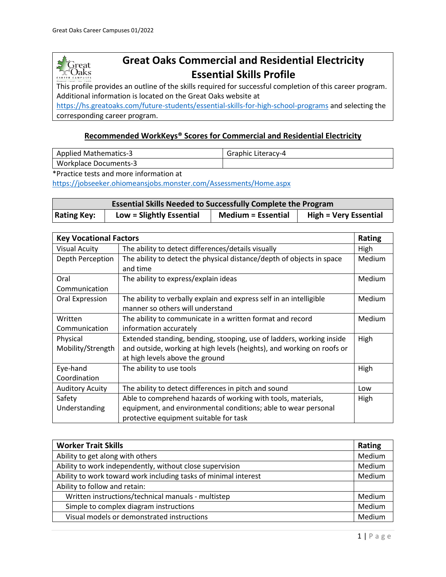

# **Great Oaks Commercial and Residential Electricity Essential Skills Profile**

This profile provides an outline of the skills required for successful completion of this career program. Additional information is located on the Great Oaks website at

<https://hs.greatoaks.com/future-students/essential-skills-for-high-school-programs> and selecting the corresponding career program.

#### **Recommended WorkKeys® Scores for Commercial and Residential Electricity**

| <b>Applied Mathematics-3</b> | Graphic Literacy-4 |
|------------------------------|--------------------|
| Workplace Documents-3        |                    |

\*Practice tests and more information at

<https://jobseeker.ohiomeansjobs.monster.com/Assessments/Home.aspx>

| <b>Essential Skills Needed to Successfully Complete the Program</b> |                          |                           |                              |
|---------------------------------------------------------------------|--------------------------|---------------------------|------------------------------|
| <b>Rating Key:</b>                                                  | Low = Slightly Essential | <b>Medium = Essential</b> | <b>High = Very Essential</b> |

| <b>Key Vocational Factors</b><br>Rating |                                                                        |               |
|-----------------------------------------|------------------------------------------------------------------------|---------------|
| <b>Visual Acuity</b>                    | The ability to detect differences/details visually                     | High          |
| Depth Perception                        | The ability to detect the physical distance/depth of objects in space  | <b>Medium</b> |
|                                         | and time                                                               |               |
| Oral                                    | The ability to express/explain ideas                                   | Medium        |
| Communication                           |                                                                        |               |
| Oral Expression                         | The ability to verbally explain and express self in an intelligible    | Medium        |
|                                         | manner so others will understand                                       |               |
| Written                                 | The ability to communicate in a written format and record              | <b>Medium</b> |
| Communication                           | information accurately                                                 |               |
| Physical                                | Extended standing, bending, stooping, use of ladders, working inside   | High          |
| Mobility/Strength                       | and outside, working at high levels (heights), and working on roofs or |               |
|                                         | at high levels above the ground                                        |               |
| Eye-hand                                | The ability to use tools                                               | High          |
| Coordination                            |                                                                        |               |
| <b>Auditory Acuity</b>                  | The ability to detect differences in pitch and sound                   | Low           |
| Safety                                  | Able to comprehend hazards of working with tools, materials,           | High          |
| Understanding                           | equipment, and environmental conditions; able to wear personal         |               |
|                                         | protective equipment suitable for task                                 |               |

| <b>Worker Trait Skills</b>                                      | Rating |
|-----------------------------------------------------------------|--------|
| Ability to get along with others                                | Medium |
| Ability to work independently, without close supervision        | Medium |
| Ability to work toward work including tasks of minimal interest | Medium |
| Ability to follow and retain:                                   |        |
| Written instructions/technical manuals - multistep              | Medium |
| Simple to complex diagram instructions                          | Medium |
| Visual models or demonstrated instructions                      | Medium |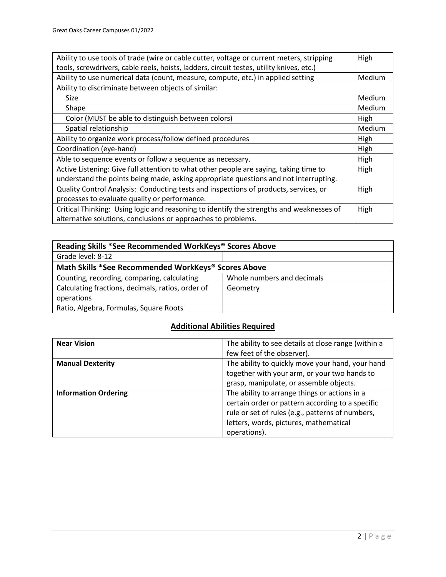| Ability to use tools of trade (wire or cable cutter, voltage or current meters, stripping |        |
|-------------------------------------------------------------------------------------------|--------|
| tools, screwdrivers, cable reels, hoists, ladders, circuit testes, utility knives, etc.)  |        |
| Ability to use numerical data (count, measure, compute, etc.) in applied setting          | Medium |
| Ability to discriminate between objects of similar:                                       |        |
| Size                                                                                      | Medium |
| Shape                                                                                     | Medium |
| Color (MUST be able to distinguish between colors)                                        | High   |
| Spatial relationship                                                                      | Medium |
| Ability to organize work process/follow defined procedures                                | High   |
| Coordination (eye-hand)                                                                   | High   |
| Able to sequence events or follow a sequence as necessary.                                | High   |
| Active Listening: Give full attention to what other people are saying, taking time to     | High   |
| understand the points being made, asking appropriate questions and not interrupting.      |        |
| Quality Control Analysis: Conducting tests and inspections of products, services, or      | High   |
| processes to evaluate quality or performance.                                             |        |
| Critical Thinking: Using logic and reasoning to identify the strengths and weaknesses of  | High   |
| alternative solutions, conclusions or approaches to problems.                             |        |

| Reading Skills *See Recommended WorkKeys® Scores Above |                            |  |
|--------------------------------------------------------|----------------------------|--|
| Grade level: 8-12                                      |                            |  |
| Math Skills *See Recommended WorkKeys® Scores Above    |                            |  |
| Counting, recording, comparing, calculating            | Whole numbers and decimals |  |
| Calculating fractions, decimals, ratios, order of      | Geometry                   |  |
| operations                                             |                            |  |
| Ratio, Algebra, Formulas, Square Roots                 |                            |  |

## **Additional Abilities Required**

| <b>Near Vision</b>          | The ability to see details at close range (within a<br>few feet of the observer).                                                                              |
|-----------------------------|----------------------------------------------------------------------------------------------------------------------------------------------------------------|
| <b>Manual Dexterity</b>     | The ability to quickly move your hand, your hand<br>together with your arm, or your two hands to                                                               |
| <b>Information Ordering</b> | grasp, manipulate, or assemble objects.<br>The ability to arrange things or actions in a                                                                       |
|                             | certain order or pattern according to a specific<br>rule or set of rules (e.g., patterns of numbers,<br>letters, words, pictures, mathematical<br>operations). |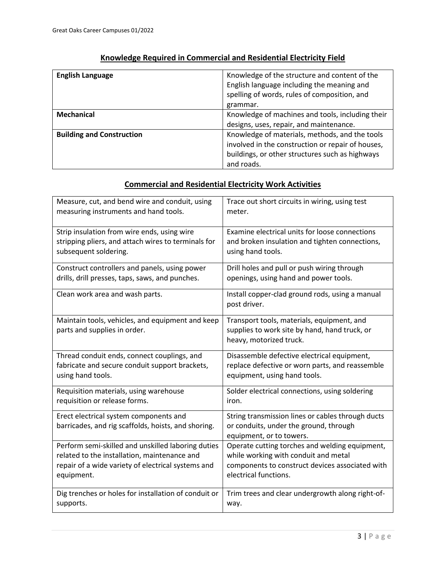| <b>English Language</b>          | Knowledge of the structure and content of the<br>English language including the meaning and<br>spelling of words, rules of composition, and<br>grammar. |
|----------------------------------|---------------------------------------------------------------------------------------------------------------------------------------------------------|
| Mechanical                       | Knowledge of machines and tools, including their                                                                                                        |
|                                  | designs, uses, repair, and maintenance.                                                                                                                 |
| <b>Building and Construction</b> | Knowledge of materials, methods, and the tools                                                                                                          |
|                                  | involved in the construction or repair of houses,                                                                                                       |
|                                  | buildings, or other structures such as highways                                                                                                         |
|                                  | and roads.                                                                                                                                              |

#### **Knowledge Required in Commercial and Residential Electricity Field**

#### **Commercial and Residential Electricity Work Activities**

| Measure, cut, and bend wire and conduit, using                                                | Trace out short circuits in wiring, using test                                                                          |
|-----------------------------------------------------------------------------------------------|-------------------------------------------------------------------------------------------------------------------------|
| measuring instruments and hand tools.                                                         | meter.                                                                                                                  |
| Strip insulation from wire ends, using wire                                                   | Examine electrical units for loose connections                                                                          |
| stripping pliers, and attach wires to terminals for                                           | and broken insulation and tighten connections,                                                                          |
| subsequent soldering.                                                                         | using hand tools.                                                                                                       |
| Construct controllers and panels, using power                                                 | Drill holes and pull or push wiring through                                                                             |
| drills, drill presses, taps, saws, and punches.                                               | openings, using hand and power tools.                                                                                   |
| Clean work area and wash parts.                                                               | Install copper-clad ground rods, using a manual<br>post driver.                                                         |
| Maintain tools, vehicles, and equipment and keep<br>parts and supplies in order.              | Transport tools, materials, equipment, and<br>supplies to work site by hand, hand truck, or<br>heavy, motorized truck.  |
| Thread conduit ends, connect couplings, and                                                   | Disassemble defective electrical equipment,                                                                             |
| fabricate and secure conduit support brackets,                                                | replace defective or worn parts, and reassemble                                                                         |
| using hand tools.                                                                             | equipment, using hand tools.                                                                                            |
| Requisition materials, using warehouse                                                        | Solder electrical connections, using soldering                                                                          |
| requisition or release forms.                                                                 | iron.                                                                                                                   |
| Erect electrical system components and<br>barricades, and rig scaffolds, hoists, and shoring. | String transmission lines or cables through ducts<br>or conduits, under the ground, through<br>equipment, or to towers. |
| Perform semi-skilled and unskilled laboring duties                                            | Operate cutting torches and welding equipment,                                                                          |
| related to the installation, maintenance and                                                  | while working with conduit and metal                                                                                    |
| repair of a wide variety of electrical systems and                                            | components to construct devices associated with                                                                         |
| equipment.                                                                                    | electrical functions.                                                                                                   |
| Dig trenches or holes for installation of conduit or                                          | Trim trees and clear undergrowth along right-of-                                                                        |
| supports.                                                                                     | way.                                                                                                                    |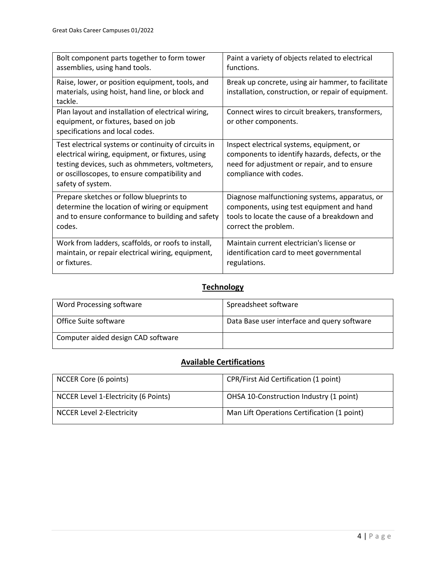| Bolt component parts together to form tower                                                                                                                                                                                       | Paint a variety of objects related to electrical                                                                                                                       |
|-----------------------------------------------------------------------------------------------------------------------------------------------------------------------------------------------------------------------------------|------------------------------------------------------------------------------------------------------------------------------------------------------------------------|
| assemblies, using hand tools.                                                                                                                                                                                                     | functions.                                                                                                                                                             |
| Raise, lower, or position equipment, tools, and<br>materials, using hoist, hand line, or block and<br>tackle.                                                                                                                     | Break up concrete, using air hammer, to facilitate<br>installation, construction, or repair of equipment.                                                              |
| Plan layout and installation of electrical wiring,<br>equipment, or fixtures, based on job<br>specifications and local codes.                                                                                                     | Connect wires to circuit breakers, transformers,<br>or other components.                                                                                               |
| Test electrical systems or continuity of circuits in<br>electrical wiring, equipment, or fixtures, using<br>testing devices, such as ohmmeters, voltmeters,<br>or oscilloscopes, to ensure compatibility and<br>safety of system. | Inspect electrical systems, equipment, or<br>components to identify hazards, defects, or the<br>need for adjustment or repair, and to ensure<br>compliance with codes. |
| Prepare sketches or follow blueprints to                                                                                                                                                                                          | Diagnose malfunctioning systems, apparatus, or                                                                                                                         |
| determine the location of wiring or equipment                                                                                                                                                                                     | components, using test equipment and hand                                                                                                                              |
| and to ensure conformance to building and safety                                                                                                                                                                                  | tools to locate the cause of a breakdown and                                                                                                                           |
| codes.                                                                                                                                                                                                                            | correct the problem.                                                                                                                                                   |
| Work from ladders, scaffolds, or roofs to install,                                                                                                                                                                                | Maintain current electrician's license or                                                                                                                              |
| maintain, or repair electrical wiring, equipment,                                                                                                                                                                                 | identification card to meet governmental                                                                                                                               |
| or fixtures.                                                                                                                                                                                                                      | regulations.                                                                                                                                                           |

### **Technology**

| Word Processing software           | Spreadsheet software                        |
|------------------------------------|---------------------------------------------|
| Office Suite software              | Data Base user interface and query software |
| Computer aided design CAD software |                                             |

## **Available Certifications**

| NCCER Core (6 points)                | CPR/First Aid Certification (1 point)       |
|--------------------------------------|---------------------------------------------|
| NCCER Level 1-Electricity (6 Points) | OHSA 10-Construction Industry (1 point)     |
| <b>NCCER Level 2-Electricity</b>     | Man Lift Operations Certification (1 point) |